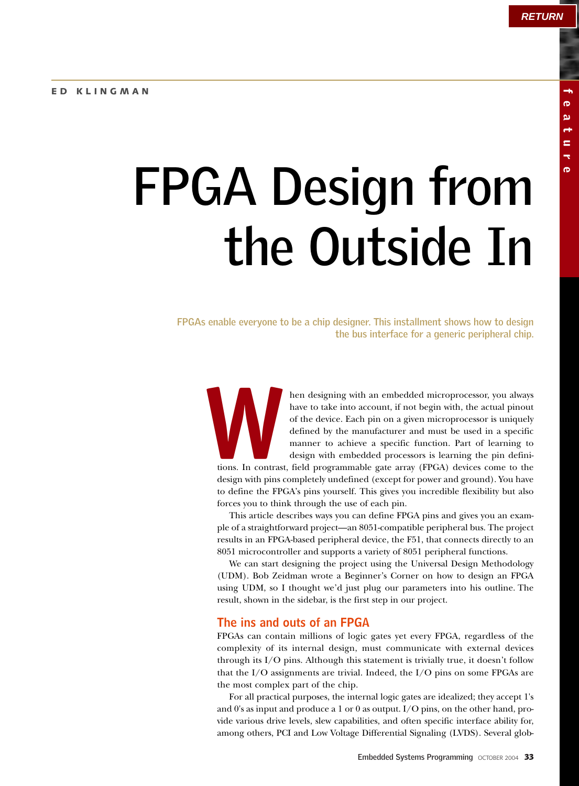# **FPGA Design from the Outside In**

**FPGAs enable everyone to be a chip designer. This installment shows how to design the bus interface for a generic peripheral chip.**

hen designing with an embedded microprocessor, you always have to take into account, if not begin with, the actual pinout of the device. Each pin on a given microprocessor is uniquely defined by the manufacturer and must be used in a specific manner to achieve a specific function. Part of learning to design with embedded processors is learning the pin definitions. In contrast, field programmable gate array (FPGA) devices come to the tions. In contrast

design with pins completely undefined (except for power and ground). You have to define the FPGA's pins yourself. This gives you incredible flexibility but also forces you to think through the use of each pin.

This article describes ways you can define FPGA pins and gives you an example of a straightforward project—an 8051-compatible peripheral bus. The project results in an FPGA-based peripheral device, the F51, that connects directly to an 8051 microcontroller and supports a variety of 8051 peripheral functions.

We can start designing the project using the Universal Design Methodology (UDM). Bob Zeidman wrote a Beginner's Corner on how to design an FPGA using UDM, so I thought we'd just plug our parameters into his outline. The result, shown in the sidebar, is the first step in our project.

#### **The ins and outs of an FPGA**

FPGAs can contain millions of logic gates yet every FPGA, regardless of the complexity of its internal design, must communicate with external devices through its I/O pins. Although this statement is trivially true, it doesn't follow that the I/O assignments are trivial. Indeed, the I/O pins on some FPGAs are the most complex part of the chip.

For all practical purposes, the internal logic gates are idealized; they accept 1's and 0's as input and produce a 1 or 0 as output. I/O pins, on the other hand, provide various drive levels, slew capabilities, and often specific interface ability for, among others, PCI and Low Voltage Differential Signaling (LVDS). Several glob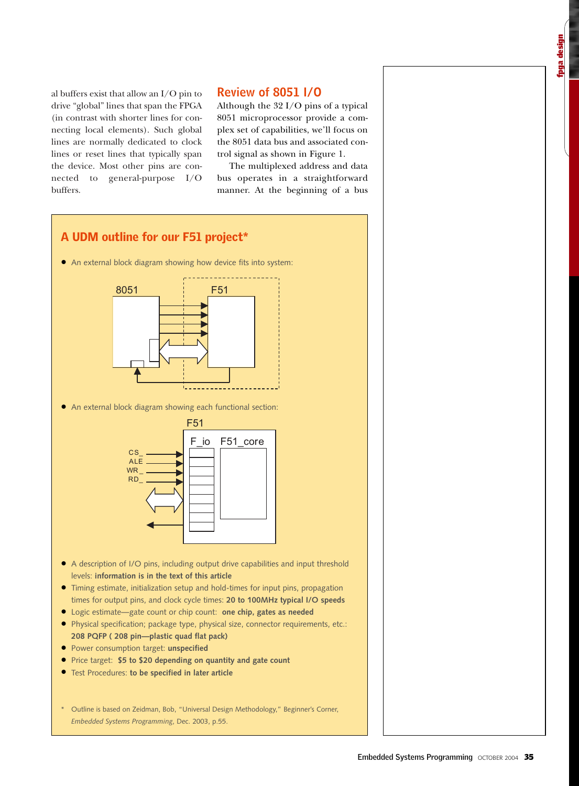al buffers exist that allow an I/O pin to drive "global" lines that span the FPGA (in contrast with shorter lines for connecting local elements). Such global lines are normally dedicated to clock lines or reset lines that typically span the device. Most other pins are connected to general-purpose I/O buffers.

# **Review of 8051 I/O**

Although the 32 I/O pins of a typical 8051 microprocessor provide a complex set of capabilities, we'll focus on the 8051 data bus and associated control signal as shown in Figure 1.

The multiplexed address and data bus operates in a straightforward manner. At the beginning of a bus

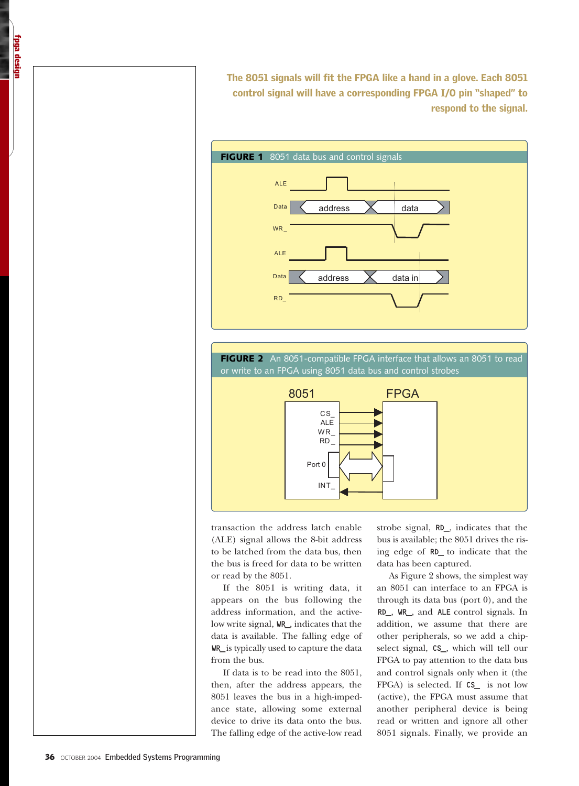The 8051 signals will fit the FPGA like a hand in a glove. Each 8051 control signal will have a corresponding FPGA I/O pin "shaped" to respond to the signal.



or write to an FPGA using 8051 data bus and control strobes



transaction the address latch enable (ALE) signal allows the 8-bit address to be latched from the data bus, then the bus is freed for data to be written or read by the 8051.

If the 8051 is writing data, it appears on the bus following the address information, and the activelow write signal, WR\_, indicates that the data is available. The falling edge of WR\_is typically used to capture the data from the bus.

If data is to be read into the 8051, then, after the address appears, the 8051 leaves the bus in a high-impedance state, allowing some external device to drive its data onto the bus. The falling edge of the active-low read strobe signal, RD\_, indicates that the bus is available; the 8051 drives the rising edge of RD\_ to indicate that the data has been captured.

As Figure 2 shows, the simplest way an 8051 can interface to an FPGA is through its data bus (port 0), and the RD\_, WR\_, and ALE control signals. In addition, we assume that there are other peripherals, so we add a chipselect signal, CS\_, which will tell our FPGA to pay attention to the data bus and control signals only when it (the FPGA) is selected. If CS\_ is not low (active), the FPGA must assume that another peripheral device is being read or written and ignore all other 8051 signals. Finally, we provide an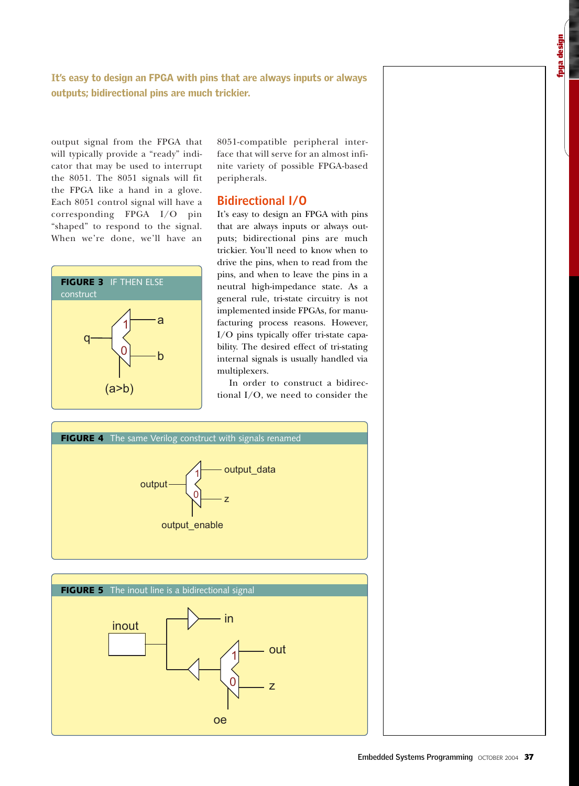It's easy to design an FPGA with pins that are always inputs or always outputs; bidirectional pins are much trickier.

output signal from the FPGA that will typically provide a "ready" indicator that may be used to interrupt the 8051. The 8051 signals will fit the FPGA like a hand in a glove. Each 8051 control signal will have a corresponding FPGA I/O pin "shaped" to respond to the signal. When we're done, we'll have an



8051-compatible peripheral interface that will serve for an almost infinite variety of possible FPGA-based peripherals.

## **Bidirectional I/O**

It's easy to design an FPGA with pins that are always inputs or always outputs; bidirectional pins are much trickier. You'll need to know when to drive the pins, when to read from the pins, and when to leave the pins in a neutral high-impedance state. As a general rule, tri-state circuitry is not implemented inside FPGAs, for manufacturing process reasons. However, I/O pins typically offer tri-state capability. The desired effect of tri-stating internal signals is usually handled via multiplexers.

In order to construct a bidirectional I/O, we need to consider the

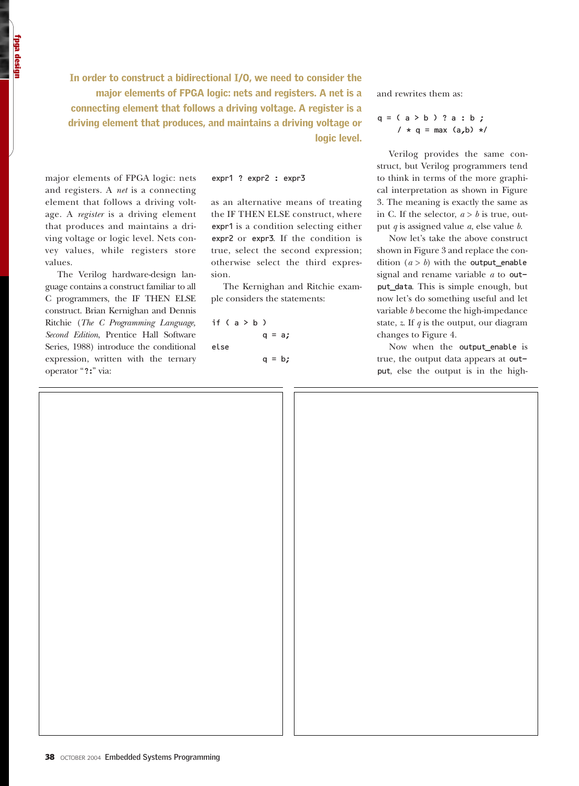In order to construct a bidirectional I/O, we need to consider the major elements of FPGA logic: nets and registers. A net is a connecting element that follows a driving voltage. A register is a driving element that produces, and maintains a driving voltage or logic level.

major elements of FPGA logic: nets and registers. A *net* is a connecting element that follows a driving voltage. A *register* is a driving element that produces and maintains a driving voltage or logic level. Nets convey values, while registers store values.

The Verilog hardware-design language contains a construct familiar to all C programmers, the IF THEN ELSE construct. Brian Kernighan and Dennis Ritchie (*The C Programming Language, Second Edition*, Prentice Hall Software Series, 1988) introduce the conditional expression, written with the ternary operator "?:" via:

expr1 ? expr2 : expr3

as an alternative means of treating the IF THEN ELSE construct, where expr1 is a condition selecting either expr2 or expr3. If the condition is true, select the second expression; otherwise select the third expression.

The Kernighan and Ritchie example considers the statements:

if  $(a > b)$  $q = a;$ else  $q = b;$  and rewrites them as:

$$
q = (a > b) ? a : b ;
$$
  

$$
/* q = max (a, b) * /
$$

Verilog provides the same construct, but Verilog programmers tend to think in terms of the more graphical interpretation as shown in Figure 3. The meaning is exactly the same as in C. If the selector,  $a > b$  is true, output *q* is assigned value *a*, else value *b*.

Now let's take the above construct shown in Figure 3 and replace the condition  $(a > b)$  with the output enable signal and rename variable *a* to output\_data. This is simple enough, but now let's do something useful and let variable *b* become the high-impedance state, *z*. If *q* is the output, our diagram changes to Figure 4.

Now when the output\_enable is true, the output data appears at output, else the output is in the high-

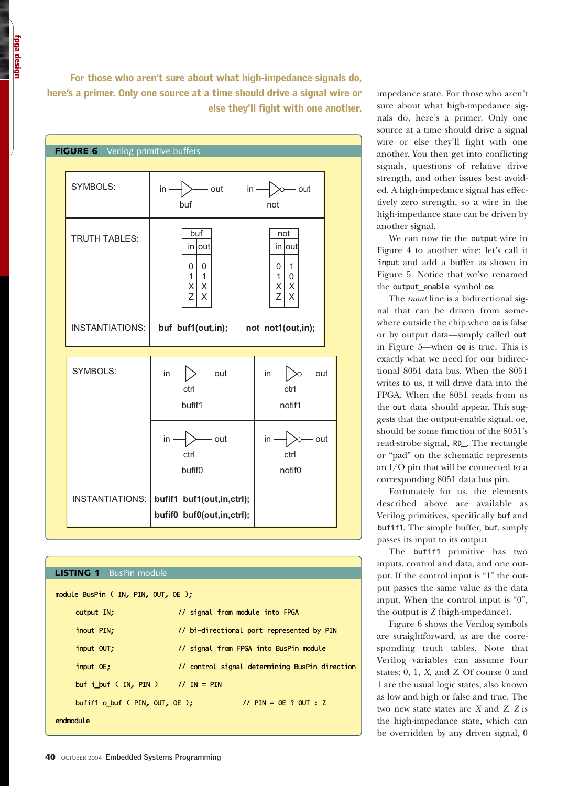For those who aren't sure about what high-impedance signals do, here's a primer. Only one source at a time should drive a signal wire or else they'll fight with one another.

| FIGURE 6 Verilog primitive buffers |                                                                            |                                                                             |
|------------------------------------|----------------------------------------------------------------------------|-----------------------------------------------------------------------------|
| SYMBOLS:                           | - out<br>$in -$<br>buf                                                     | $in -$<br>- out<br>not                                                      |
| <b>TRUTH TABLES:</b>               | buf<br>in out<br>$\mathbf 0$<br>0<br>$\mathbf{1}$<br>1<br>X<br>X<br>Z<br>X | not<br>in lout<br>$\mathbf{1}$<br>0<br>0<br>1<br>$\mathsf X$<br>Χ<br>Z<br>X |
| <b>INSTANTIATIONS:</b>             | buf buf1(out,in);                                                          | not not1(out,in);                                                           |
| SYMBOLS:                           | - out<br>in<br>ctrl<br>bufif1                                              | - out<br>in ·<br>ctrl<br>notif1                                             |
|                                    | - out<br>in<br>ctrl<br>bufif0                                              | - out<br>in<br>ctrl<br>notif <sub>0</sub>                                   |
| <b>INSTANTIATIONS:</b>             | bufif1 buf1(out,in,ctrl);<br>bufif0 buf0(out,in,ctrl);                     |                                                                             |

# **LISTING 1** BusPin module module BusPin ( IN, PIN, OUT, OE ); output IN;  $\frac{1}{1}$  signal from module into FPGA inout PIN;  $\frac{1}{2}$  // bi-directional port represented by PIN input OUT;  $\frac{1}{2}$  input OUT; input OE; // control signal determining BusPin direction buf i\_buf ( IN, PIN )  $\frac{1}{1}$  IN = PIN bufif1 o\_buf ( PIN, OUT, OE ); // PIN = OE ? OUT : Z endmodule

impedance state. For those who aren't sure about what high-impedance signals do, here's a primer. Only one source at a time should drive a signal wire or else they'll fight with one another. You then get into conflicting signals, questions of relative drive strength, and other issues best avoided. A high-impedance signal has effectively zero strength, so a wire in the high-impedance state can be driven by another signal.

We can now tie the output wire in Figure 4 to another wire; let's call it input and add a buffer as shown in Figure 5. Notice that we've renamed the output\_enable symbol oe.

The *inout* line is a bidirectional signal that can be driven from somewhere outside the chip when oe is false or by output data—simply called out in Figure 5—when oe is true. This is exactly what we need for our bidirectional 8051 data bus. When the 8051 writes to us, it will drive data into the FPGA. When the 8051 reads from us the out data should appear. This suggests that the output-enable signal, oe, should be some function of the 8051's read-strobe signal, RD\_. The rectangle or "pad" on the schematic represents an I/O pin that will be connected to a corresponding 8051 data bus pin.

Fortunately for us, the elements described above are available as Verilog primitives, specifically buf and bufif1. The simple buffer, buf, simply passes its input to its output.

The bufif1 primitive has two inputs, control and data, and one output. If the control input is "1" the output passes the same value as the data input. When the control input is "0", the output is *Z* (high-impedance).

Figure 6 shows the Verilog symbols are straightforward, as are the corresponding truth tables. Note that Verilog variables can assume four states; 0, 1, *X*, and *Z*. Of course 0 and 1 are the usual logic states, also known as low and high or false and true. The two new state states are *X* and *Z*. *Z* is the high-impedance state, which can be overridden by any driven signal, 0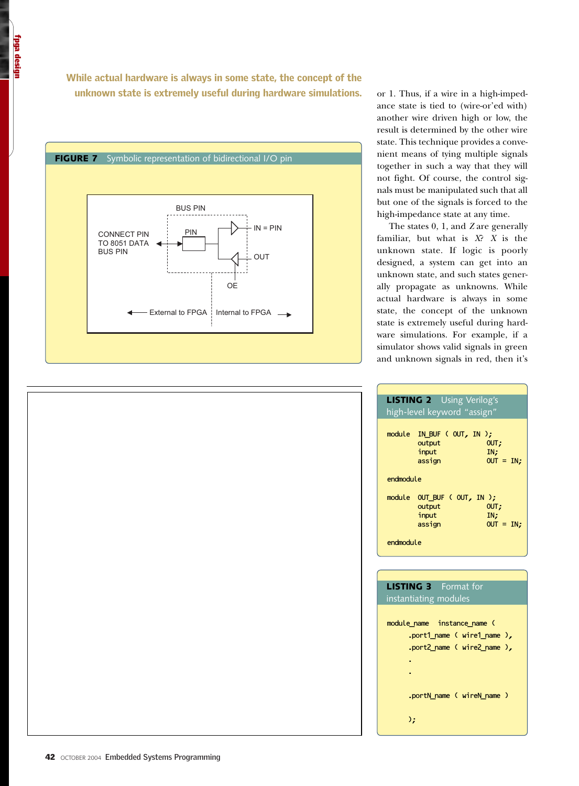While actual hardware is always in some state, the concept of the unknown state is extremely useful during hardware simulations.



or 1. Thus, if a wire in a high-impedance state is tied to (wire-or'ed with) another wire driven high or low, the result is determined by the other wire state. This technique provides a convenient means of tying multiple signals together in such a way that they will not fight. Of course, the control signals must be manipulated such that all but one of the signals is forced to the high-impedance state at any time.

The states 0, 1, and *Z* are generally familiar, but what is *X*? *X* is the unknown state. If logic is poorly designed, a system can get into an unknown state, and such states generally propagate as unknowns. While actual hardware is always in some state, the concept of the unknown state is extremely useful during hardware simulations. For example, if a simulator shows valid signals in green and unknown signals in red, then it's

| <b>LISTING 2</b> Using Verilog's                                                     |  |  |  |  |  |
|--------------------------------------------------------------------------------------|--|--|--|--|--|
| high-level keyword "assign"                                                          |  |  |  |  |  |
|                                                                                      |  |  |  |  |  |
| module IN_BUF (OUT, IN );<br>output<br>OUT.<br>input<br>IN,<br>assign<br>$OUT = IN:$ |  |  |  |  |  |
| endmodule                                                                            |  |  |  |  |  |
| module OUT_BUF (OUT, IN);<br>output<br>OUT.<br>input<br>IN,<br>assign<br>$OUT = IN:$ |  |  |  |  |  |
| endmodule                                                                            |  |  |  |  |  |

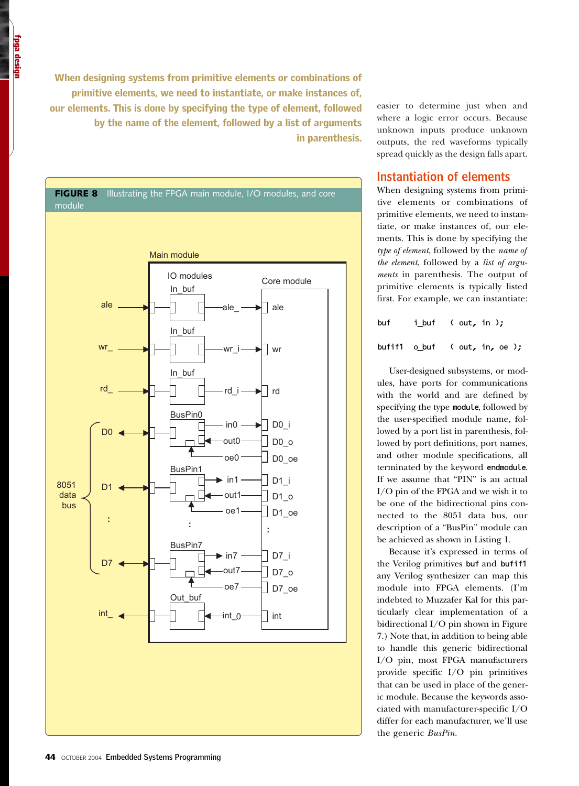When designing systems from primitive elements or combinations of primitive elements, we need to instantiate, or make instances of, our elements. This is done by specifying the type of element, followed by the name of the element, followed by a list of arguments in parenthesis.



easier to determine just when and where a logic error occurs. Because unknown inputs produce unknown outputs, the red waveforms typically spread quickly as the design falls apart.

## **Instantiation of elements**

When designing systems from primitive elements or combinations of primitive elements, we need to instantiate, or make instances of, our elements. This is done by specifying the *type of element*, followed by the *name of the element*, followed by a *list of arguments* in parenthesis. The output of primitive elements is typically listed first. For example, we can instantiate:

| buf | i_buf $($ out, in $);$         |
|-----|--------------------------------|
|     | bufif1 $o$ buf (out, in, oe ); |

User-designed subsystems, or modules, have ports for communications with the world and are defined by specifying the type module, followed by the user-specified module name, followed by a port list in parenthesis, followed by port definitions, port names, and other module specifications, all terminated by the keyword endmodule. If we assume that "PIN" is an actual I/O pin of the FPGA and we wish it to be one of the bidirectional pins connected to the 8051 data bus, our description of a "BusPin" module can be achieved as shown in Listing 1.

Because it's expressed in terms of the Verilog primitives buf and bufif1 any Verilog synthesizer can map this module into FPGA elements. (I'm indebted to Muzzafer Kal for this particularly clear implementation of a bidirectional I/O pin shown in Figure 7.) Note that, in addition to being able to handle this generic bidirectional I/O pin, most FPGA manufacturers provide specific I/O pin primitives that can be used in place of the generic module. Because the keywords associated with manufacturer-specific I/O differ for each manufacturer, we'll use the generic *BusPin*.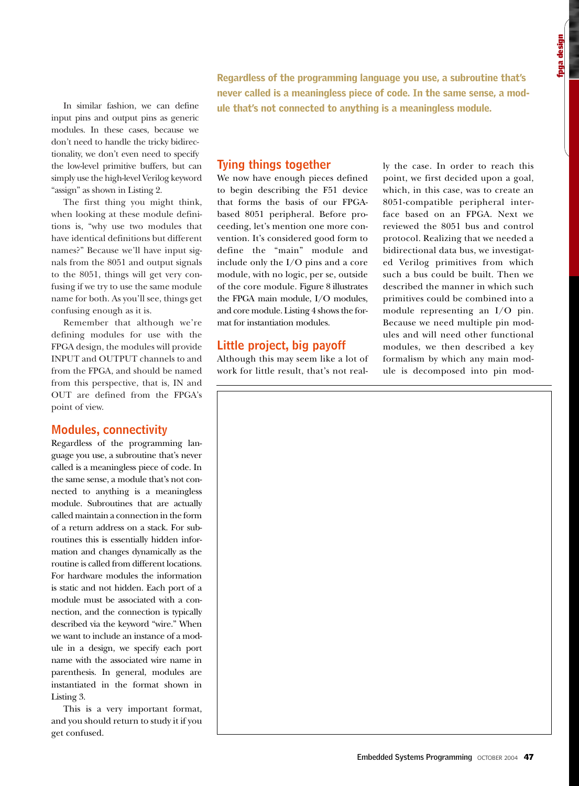In similar fashion, we can define input pins and output pins as generic modules. In these cases, because we don't need to handle the tricky bidirectionality, we don't even need to specify the low-level primitive buffers, but can simply use the high-level Verilog keyword "assign" as shown in Listing 2.

The first thing you might think, when looking at these module definitions is, "why use two modules that have identical definitions but different names?" Because we'll have input signals from the 8051 and output signals to the 8051, things will get very confusing if we try to use the same module name for both. As you'll see, things get confusing enough as it is.

Remember that although we're defining modules for use with the FPGA design, the modules will provide INPUT and OUTPUT channels to and from the FPGA, and should be named from this perspective, that is, IN and OUT are defined from the FPGA's point of view.

## **Modules, connectivity**

Regardless of the programming language you use, a subroutine that's never called is a meaningless piece of code. In the same sense, a module that's not connected to anything is a meaningless module. Subroutines that are actually called maintain a connection in the form of a return address on a stack. For subroutines this is essentially hidden information and changes dynamically as the routine is called from different locations. For hardware modules the information is static and not hidden. Each port of a module must be associated with a connection, and the connection is typically described via the keyword "wire." When we want to include an instance of a module in a design, we specify each port name with the associated wire name in parenthesis. In general, modules are instantiated in the format shown in Listing 3.

This is a very important format, and you should return to study it if you get confused.

Regardless of the programming language you use, a subroutine that's never called is a meaningless piece of code. In the same sense, a module that's not connected to anything is a meaningless module.

## **Tying things together**

We now have enough pieces defined to begin describing the F51 device that forms the basis of our FPGAbased 8051 peripheral. Before proceeding, let's mention one more convention. It's considered good form to define the "main" module and include only the I/O pins and a core module, with no logic, per se, outside of the core module. Figure 8 illustrates the FPGA main module, I/O modules, and core module. Listing 4 shows the format for instantiation modules.

## **Little project, big payoff**

Although this may seem like a lot of work for little result, that's not really the case. In order to reach this point, we first decided upon a goal, which, in this case, was to create an 8051-compatible peripheral interface based on an FPGA. Next we reviewed the 8051 bus and control protocol. Realizing that we needed a bidirectional data bus, we investigated Verilog primitives from which such a bus could be built. Then we described the manner in which such primitives could be combined into a module representing an I/O pin. Because we need multiple pin modules and will need other functional modules, we then described a key formalism by which any main module is decomposed into pin mod-